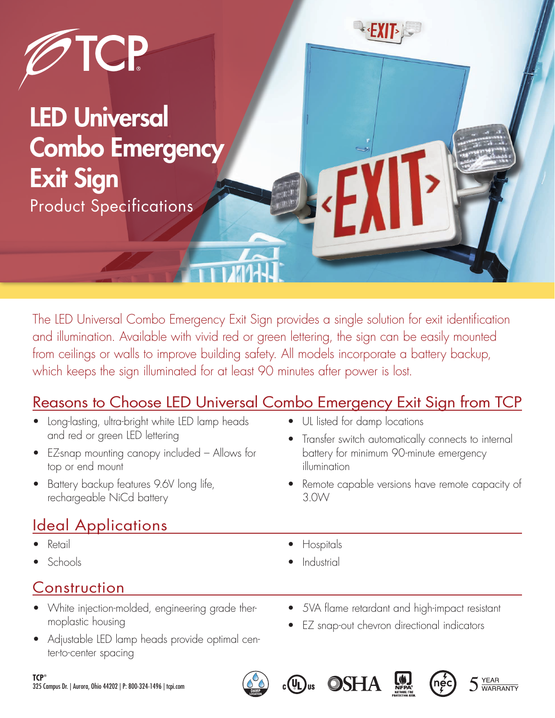

LED Universal Combo Emergency Exit Sign Product Specifications

The LED Universal Combo Emergency Exit Sign provides a single solution for exit identification and illumination. Available with vivid red or green lettering, the sign can be easily mounted from ceilings or walls to improve building safety. All models incorporate a battery backup, which keeps the sign illuminated for at least 90 minutes after power is lost.

## Reasons to Choose LED Universal Combo Emergency Exit Sign from TCP

- Long-lasting, ultra-bright white LED lamp heads and red or green LED lettering
- EZ-snap mounting canopy included Allows for top or end mount
- Battery backup features 9.6V long life, rechargeable NiCd battery

# Ideal Applications

- Retail
- Schools

## Construction

- White injection-molded, engineering grade thermoplastic housing
- Adjustable LED lamp heads provide optimal center-to-center spacing
- UL listed for damp locations
- Transfer switch automatically connects to internal battery for minimum 90-minute emergency illumination
- Remote capable versions have remote capacity of 3.0W
- Hospitals
- **Industrial**

 $c(U)$ us

- 5VA flame retardant and high-impact resistant
- EZ snap-out chevron directional indicators